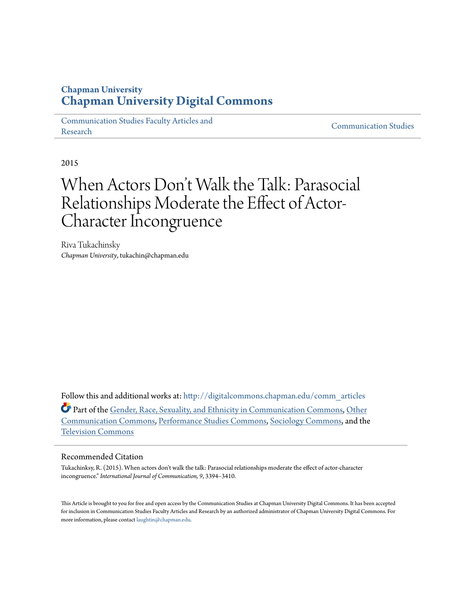# **Chapman University [Chapman University Digital Commons](http://digitalcommons.chapman.edu?utm_source=digitalcommons.chapman.edu%2Fcomm_articles%2F23&utm_medium=PDF&utm_campaign=PDFCoverPages)**

[Communication Studies Faculty Articles and](http://digitalcommons.chapman.edu/comm_articles?utm_source=digitalcommons.chapman.edu%2Fcomm_articles%2F23&utm_medium=PDF&utm_campaign=PDFCoverPages) [Research](http://digitalcommons.chapman.edu/comm_articles?utm_source=digitalcommons.chapman.edu%2Fcomm_articles%2F23&utm_medium=PDF&utm_campaign=PDFCoverPages) [Communication Studies](http://digitalcommons.chapman.edu/communication?utm_source=digitalcommons.chapman.edu%2Fcomm_articles%2F23&utm_medium=PDF&utm_campaign=PDFCoverPages)

2015

# When Actors Don 't Walk the Talk: Parasocial Relationships Moderate the Effect of Actor-Character Incongruence

Riva Tukachinsky *Chapman University*, tukachin@chapman.edu

Follow this and additional works at: [http://digitalcommons.chapman.edu/comm\\_articles](http://digitalcommons.chapman.edu/comm_articles?utm_source=digitalcommons.chapman.edu%2Fcomm_articles%2F23&utm_medium=PDF&utm_campaign=PDFCoverPages) Part of the [Gender, Race, Sexuality, and Ethnicity in Communication Commons](http://network.bepress.com/hgg/discipline/329?utm_source=digitalcommons.chapman.edu%2Fcomm_articles%2F23&utm_medium=PDF&utm_campaign=PDFCoverPages), [Other](http://network.bepress.com/hgg/discipline/339?utm_source=digitalcommons.chapman.edu%2Fcomm_articles%2F23&utm_medium=PDF&utm_campaign=PDFCoverPages) [Communication Commons,](http://network.bepress.com/hgg/discipline/339?utm_source=digitalcommons.chapman.edu%2Fcomm_articles%2F23&utm_medium=PDF&utm_campaign=PDFCoverPages) [Performance Studies Commons](http://network.bepress.com/hgg/discipline/556?utm_source=digitalcommons.chapman.edu%2Fcomm_articles%2F23&utm_medium=PDF&utm_campaign=PDFCoverPages), [Sociology Commons,](http://network.bepress.com/hgg/discipline/416?utm_source=digitalcommons.chapman.edu%2Fcomm_articles%2F23&utm_medium=PDF&utm_campaign=PDFCoverPages) and the [Television Commons](http://network.bepress.com/hgg/discipline/1143?utm_source=digitalcommons.chapman.edu%2Fcomm_articles%2F23&utm_medium=PDF&utm_campaign=PDFCoverPages)

### Recommended Citation

Tukachinksy, R. (2015). When actors don't walk the talk: Parasocial relationships moderate the effect of actor-character incongruence." *International Journal of Communication, 9*, 3394–3410.

This Article is brought to you for free and open access by the Communication Studies at Chapman University Digital Commons. It has been accepted for inclusion in Communication Studies Faculty Articles and Research by an authorized administrator of Chapman University Digital Commons. For more information, please contact [laughtin@chapman.edu](mailto:laughtin@chapman.edu).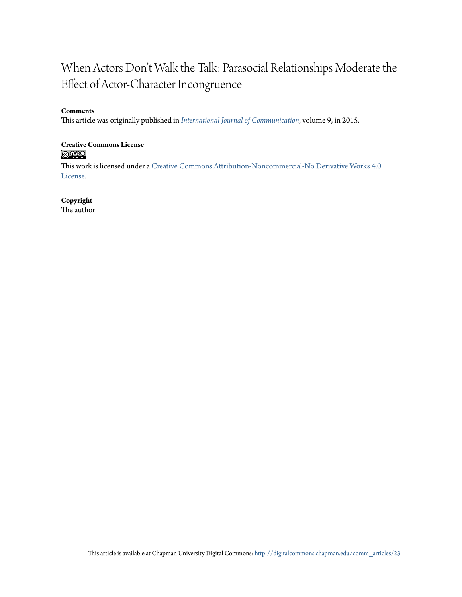# When Actors Don't Walk the Talk: Parasocial Relationships Moderate the Effect of Actor-Character Incongruence

### **Comments**

This article was originally published in *[International Journal of Communication](http://ijoc.org/index.php/ijoc/article/view/3952)*, volume 9, in 2015.

# **Creative Commons License**

This work is licensed under a [Creative Commons Attribution-Noncommercial-No Derivative Works 4.0](http://creativecommons.org/licenses/by-nc-nd/4.0/) [License.](http://creativecommons.org/licenses/by-nc-nd/4.0/)

## **Copyright**

The author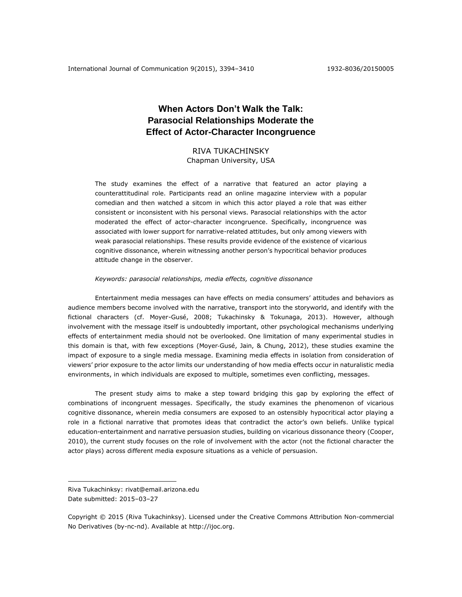## **When Actors Don't Walk the Talk: Parasocial Relationships Moderate the Effect of Actor-Character Incongruence**

RIVA TUKACHINSKY Chapman University, USA

The study examines the effect of a narrative that featured an actor playing a counterattitudinal role. Participants read an online magazine interview with a popular comedian and then watched a sitcom in which this actor played a role that was either consistent or inconsistent with his personal views. Parasocial relationships with the actor moderated the effect of actor-character incongruence. Specifically, incongruence was associated with lower support for narrative-related attitudes, but only among viewers with weak parasocial relationships. These results provide evidence of the existence of vicarious cognitive dissonance, wherein witnessing another person's hypocritical behavior produces attitude change in the observer.

#### *Keywords: parasocial relationships, media effects, cognitive dissonance*

Entertainment media messages can have effects on media consumers' attitudes and behaviors as audience members become involved with the narrative, transport into the storyworld, and identify with the fictional characters (cf. Moyer-Gusé, 2008; Tukachinsky & Tokunaga, 2013). However, although involvement with the message itself is undoubtedly important, other psychological mechanisms underlying effects of entertainment media should not be overlooked. One limitation of many experimental studies in this domain is that, with few exceptions (Moyer‐Gusé, Jain, & Chung, 2012), these studies examine the impact of exposure to a single media message. Examining media effects in isolation from consideration of viewers' prior exposure to the actor limits our understanding of how media effects occur in naturalistic media environments, in which individuals are exposed to multiple, sometimes even conflicting, messages.

The present study aims to make a step toward bridging this gap by exploring the effect of combinations of incongruent messages. Specifically, the study examines the phenomenon of vicarious cognitive dissonance, wherein media consumers are exposed to an ostensibly hypocritical actor playing a role in a fictional narrative that promotes ideas that contradict the actor's own beliefs. Unlike typical education-entertainment and narrative persuasion studies, building on vicarious dissonance theory (Cooper, 2010), the current study focuses on the role of involvement with the actor (not the fictional character the actor plays) across different media exposure situations as a vehicle of persuasion.

 $\overline{a}$ 

Riva Tukachinksy: rivat@email.arizona.edu Date submitted: 2015–03–27

Copyright © 2015 (Riva Tukachinksy). Licensed under the Creative Commons Attribution Non-commercial No Derivatives (by-nc-nd). Available at [http://ijoc.org.](http://ijoc.org/)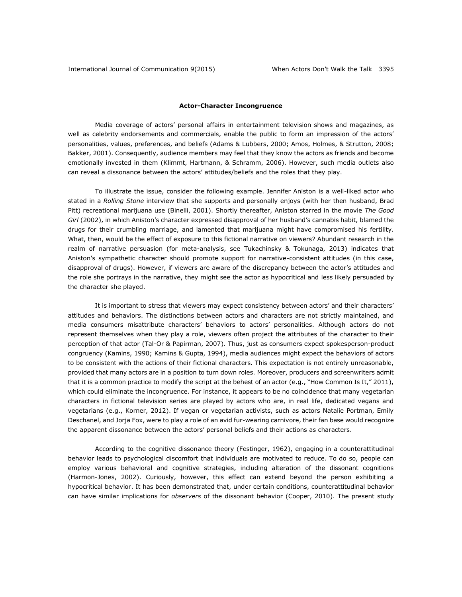#### **Actor-Character Incongruence**

Media coverage of actors' personal affairs in entertainment television shows and magazines, as well as celebrity endorsements and commercials, enable the public to form an impression of the actors' personalities, values, preferences, and beliefs (Adams & Lubbers, 2000; Amos, Holmes, & Strutton, 2008; Bakker, 2001). Consequently, audience members may feel that they know the actors as friends and become emotionally invested in them (Klimmt, Hartmann, & Schramm, 2006). However, such media outlets also can reveal a dissonance between the actors' attitudes/beliefs and the roles that they play.

To illustrate the issue, consider the following example. Jennifer Aniston is a well-liked actor who stated in a *Rolling Stone* interview that she supports and personally enjoys (with her then husband, Brad Pitt) recreational marijuana use (Binelli, 2001). Shortly thereafter, Aniston starred in the movie *The Good Girl* (2002), in which Aniston's character expressed disapproval of her husband's cannabis habit, blamed the drugs for their crumbling marriage, and lamented that marijuana might have compromised his fertility. What, then, would be the effect of exposure to this fictional narrative on viewers? Abundant research in the realm of narrative persuasion (for meta-analysis, see Tukachinsky & Tokunaga, 2013) indicates that Aniston's sympathetic character should promote support for narrative-consistent attitudes (in this case, disapproval of drugs). However, if viewers are aware of the discrepancy between the actor's attitudes and the role she portrays in the narrative, they might see the actor as hypocritical and less likely persuaded by the character she played.

It is important to stress that viewers may expect consistency between actors' and their characters' attitudes and behaviors. The distinctions between actors and characters are not strictly maintained, and media consumers misattribute characters' behaviors to actors' personalities. Although actors do not represent themselves when they play a role, viewers often project the attributes of the character to their perception of that actor (Tal-Or & Papirman, 2007). Thus, just as consumers expect spokesperson-product congruency (Kamins, 1990; Kamins & Gupta, 1994), media audiences might expect the behaviors of actors to be consistent with the actions of their fictional characters. This expectation is not entirely unreasonable, provided that many actors are in a position to turn down roles. Moreover, producers and screenwriters admit that it is a common practice to modify the script at the behest of an actor (e.g., "How Common Is It," 2011), which could eliminate the incongruence. For instance, it appears to be no coincidence that many vegetarian characters in fictional television series are played by actors who are, in real life, dedicated vegans and vegetarians (e.g., Korner, 2012). If vegan or vegetarian activists, such as actors Natalie Portman, Emily Deschanel, and Jorja Fox, were to play a role of an avid fur-wearing carnivore, their fan base would recognize the apparent dissonance between the actors' personal beliefs and their actions as characters.

According to the cognitive dissonance theory (Festinger, 1962), engaging in a counterattitudinal behavior leads to psychological discomfort that individuals are motivated to reduce. To do so, people can employ various behavioral and cognitive strategies, including alteration of the dissonant cognitions (Harmon-Jones, 2002). Curiously, however, this effect can extend beyond the person exhibiting a hypocritical behavior. It has been demonstrated that, under certain conditions, counterattitudinal behavior can have similar implications for *observers* of the dissonant behavior (Cooper, 2010). The present study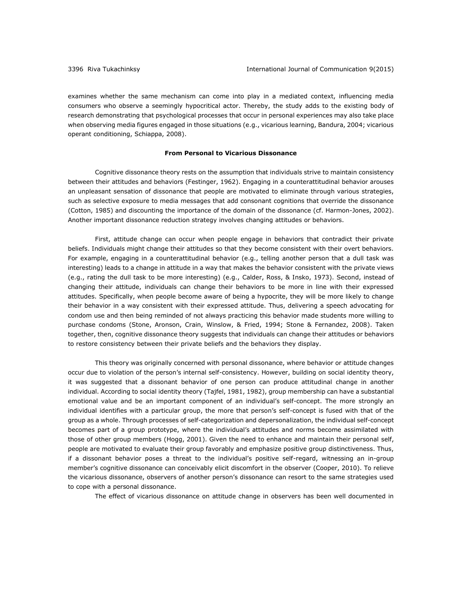examines whether the same mechanism can come into play in a mediated context, influencing media consumers who observe a seemingly hypocritical actor. Thereby, the study adds to the existing body of research demonstrating that psychological processes that occur in personal experiences may also take place when observing media figures engaged in those situations (e.g., vicarious learning, Bandura, 2004; vicarious operant conditioning, Schiappa, 2008).

#### **From Personal to Vicarious Dissonance**

Cognitive dissonance theory rests on the assumption that individuals strive to maintain consistency between their attitudes and behaviors (Festinger, 1962). Engaging in a counterattitudinal behavior arouses an unpleasant sensation of dissonance that people are motivated to eliminate through various strategies, such as selective exposure to media messages that add consonant cognitions that override the dissonance (Cotton, 1985) and discounting the importance of the domain of the dissonance (cf. Harmon-Jones, 2002). Another important dissonance reduction strategy involves changing attitudes or behaviors.

First, attitude change can occur when people engage in behaviors that contradict their private beliefs. Individuals might change their attitudes so that they become consistent with their overt behaviors. For example, engaging in a counterattitudinal behavior (e.g., telling another person that a dull task was interesting) leads to a change in attitude in a way that makes the behavior consistent with the private views (e.g., rating the dull task to be more interesting) (e.g., Calder, Ross, & Insko, 1973). Second, instead of changing their attitude, individuals can change their behaviors to be more in line with their expressed attitudes. Specifically, when people become aware of being a hypocrite, they will be more likely to change their behavior in a way consistent with their expressed attitude. Thus, delivering a speech advocating for condom use and then being reminded of not always practicing this behavior made students more willing to purchase condoms (Stone, Aronson, Crain, Winslow, & Fried, 1994; Stone & Fernandez, 2008). Taken together, then, cognitive dissonance theory suggests that individuals can change their attitudes or behaviors to restore consistency between their private beliefs and the behaviors they display.

This theory was originally concerned with personal dissonance, where behavior or attitude changes occur due to violation of the person's internal self-consistency. However, building on social identity theory, it was suggested that a dissonant behavior of one person can produce attitudinal change in another individual. According to social identity theory (Tajfel, 1981, 1982), group membership can have a substantial emotional value and be an important component of an individual's self-concept. The more strongly an individual identifies with a particular group, the more that person's self-concept is fused with that of the group as a whole. Through processes of self-categorization and depersonalization, the individual self-concept becomes part of a group prototype, where the individual's attitudes and norms become assimilated with those of other group members (Hogg, 2001). Given the need to enhance and maintain their personal self, people are motivated to evaluate their group favorably and emphasize positive group distinctiveness. Thus, if a dissonant behavior poses a threat to the individual's positive self-regard, witnessing an in-group member's cognitive dissonance can conceivably elicit discomfort in the observer (Cooper, 2010). To relieve the vicarious dissonance, observers of another person's dissonance can resort to the same strategies used to cope with a personal dissonance.

The effect of vicarious dissonance on attitude change in observers has been well documented in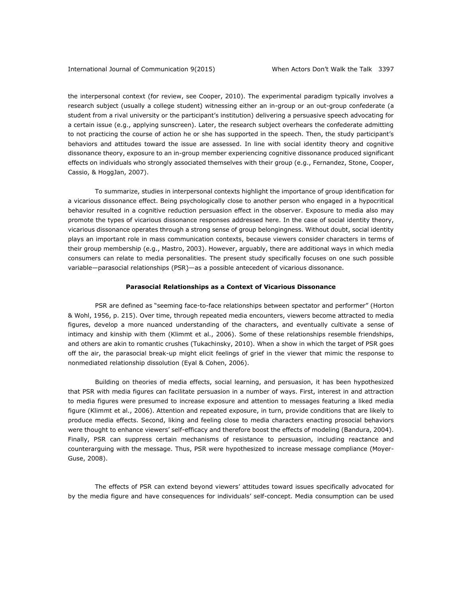the interpersonal context (for review, see Cooper, 2010). The experimental paradigm typically involves a research subject (usually a college student) witnessing either an in-group or an out-group confederate (a student from a rival university or the participant's institution) delivering a persuasive speech advocating for a certain issue (e.g., applying sunscreen). Later, the research subject overhears the confederate admitting to not practicing the course of action he or she has supported in the speech. Then, the study participant's behaviors and attitudes toward the issue are assessed. In line with social identity theory and cognitive dissonance theory, exposure to an in-group member experiencing cognitive dissonance produced significant effects on individuals who strongly associated themselves with their group (e.g., Fernandez, Stone, Cooper, Cassio, & HoggJan, 2007).

To summarize, studies in interpersonal contexts highlight the importance of group identification for a vicarious dissonance effect. Being psychologically close to another person who engaged in a hypocritical behavior resulted in a cognitive reduction persuasion effect in the observer. Exposure to media also may promote the types of vicarious dissonance responses addressed here. In the case of social identity theory, vicarious dissonance operates through a strong sense of group belongingness. Without doubt, social identity plays an important role in mass communication contexts, because viewers consider characters in terms of their group membership (e.g., Mastro, 2003). However, arguably, there are additional ways in which media consumers can relate to media personalities. The present study specifically focuses on one such possible variable—parasocial relationships (PSR)—as a possible antecedent of vicarious dissonance.

#### **Parasocial Relationships as a Context of Vicarious Dissonance**

PSR are defined as "seeming face-to-face relationships between spectator and performer" (Horton & Wohl, 1956, p. 215). Over time, through repeated media encounters, viewers become attracted to media figures, develop a more nuanced understanding of the characters, and eventually cultivate a sense of intimacy and kinship with them (Klimmt et al., 2006). Some of these relationships resemble friendships, and others are akin to romantic crushes (Tukachinsky, 2010). When a show in which the target of PSR goes off the air, the parasocial break-up might elicit feelings of grief in the viewer that mimic the response to nonmediated relationship dissolution (Eyal & Cohen, 2006).

Building on theories of media effects, social learning, and persuasion, it has been hypothesized that PSR with media figures can facilitate persuasion in a number of ways. First, interest in and attraction to media figures were presumed to increase exposure and attention to messages featuring a liked media figure (Klimmt et al., 2006). Attention and repeated exposure, in turn, provide conditions that are likely to produce media effects. Second, liking and feeling close to media characters enacting prosocial behaviors were thought to enhance viewers' self-efficacy and therefore boost the effects of modeling (Bandura, 2004). Finally, PSR can suppress certain mechanisms of resistance to persuasion, including reactance and counterarguing with the message. Thus, PSR were hypothesized to increase message compliance (Moyer-Guse, 2008).

The effects of PSR can extend beyond viewers' attitudes toward issues specifically advocated for by the media figure and have consequences for individuals' self-concept. Media consumption can be used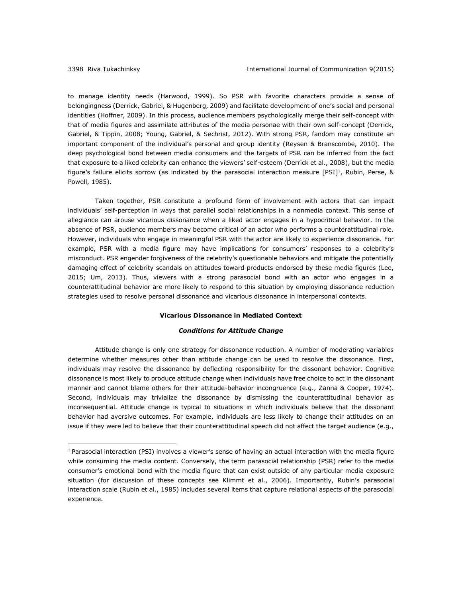$\overline{a}$ 

to manage identity needs (Harwood, 1999). So PSR with favorite characters provide a sense of belongingness (Derrick, Gabriel, & Hugenberg, 2009) and facilitate development of one's social and personal identities (Hoffner, 2009). In this process, audience members psychologically merge their self-concept with that of media figures and assimilate attributes of the media personae with their own self-concept (Derrick, Gabriel, & Tippin, 2008; Young, Gabriel, & Sechrist, 2012). With strong PSR, fandom may constitute an important component of the individual's personal and group identity (Reysen & Branscombe, 2010). The deep psychological bond between media consumers and the targets of PSR can be inferred from the fact that exposure to a liked celebrity can enhance the viewers' self-esteem (Derrick et al., 2008), but the media figure's failure elicits sorrow (as indicated by the parasocial interaction measure  $[PSI]^1$ , Rubin, Perse, & Powell, 1985).

Taken together, PSR constitute a profound form of involvement with actors that can impact individuals' self-perception in ways that parallel social relationships in a nonmedia context. This sense of allegiance can arouse vicarious dissonance when a liked actor engages in a hypocritical behavior. In the absence of PSR, audience members may become critical of an actor who performs a counterattitudinal role. However, individuals who engage in meaningful PSR with the actor are likely to experience dissonance. For example, PSR with a media figure may have implications for consumers' responses to a celebrity's misconduct. PSR engender forgiveness of the celebrity's questionable behaviors and mitigate the potentially damaging effect of celebrity scandals on attitudes toward products endorsed by these media figures (Lee, 2015; Um, 2013). Thus, viewers with a strong parasocial bond with an actor who engages in a counterattitudinal behavior are more likely to respond to this situation by employing dissonance reduction strategies used to resolve personal dissonance and vicarious dissonance in interpersonal contexts.

#### **Vicarious Dissonance in Mediated Context**

#### *Conditions for Attitude Change*

Attitude change is only one strategy for dissonance reduction. A number of moderating variables determine whether measures other than attitude change can be used to resolve the dissonance. First, individuals may resolve the dissonance by deflecting responsibility for the dissonant behavior. Cognitive dissonance is most likely to produce attitude change when individuals have free choice to act in the dissonant manner and cannot blame others for their attitude-behavior incongruence (e.g., Zanna & Cooper, 1974). Second, individuals may trivialize the dissonance by dismissing the counterattitudinal behavior as inconsequential. Attitude change is typical to situations in which individuals believe that the dissonant behavior had aversive outcomes. For example, individuals are less likely to change their attitudes on an issue if they were led to believe that their counterattitudinal speech did not affect the target audience (e.g.,

 $1$  Parasocial interaction (PSI) involves a viewer's sense of having an actual interaction with the media figure while consuming the media content. Conversely, the term parasocial relationship (PSR) refer to the media consumer's emotional bond with the media figure that can exist outside of any particular media exposure situation (for discussion of these concepts see Klimmt et al., 2006). Importantly, Rubin's parasocial interaction scale (Rubin et al., 1985) includes several items that capture relational aspects of the parasocial experience.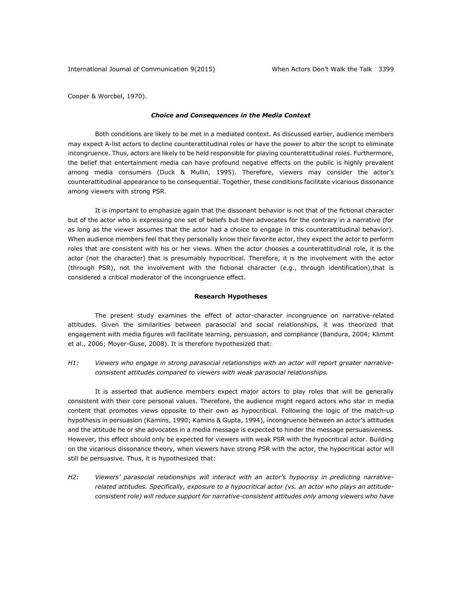Cooper & Worcbel, 1970).

#### *Choice and Consequences in the Media Context*

Both conditions are likely to be met in a mediated context. As discussed earlier, audience members may expect A-list actors to decline counterattitudinal roles or have the power to alter the script to eliminate incongruence. Thus, actors are likely to be held responsible for playing counterattitudinal roles. Furthermore, the belief that entertainment media can have profound negative effects on the public is highly prevalent among media consumers (Duck & Mullin, 1995). Therefore, viewers may consider the actor's counterattitudinal appearance to be consequential. Together, these conditions facilitate vicarious dissonance among viewers with strong PSR.

It is important to emphasize again that the dissonant behavior is not that of the fictional character but of the actor who is expressing one set of beliefs but then advocates for the contrary in a narrative (for as long as the viewer assumes that the actor had a choice to engage in this counterattitudinal behavior). When audience members feel that they personally know their favorite actor, they expect the actor to perform roles that are consistent with his or her views. When the actor chooses a counterattitudinal role, it is the actor (not the character) that is presumably hypocritical. Therefore, it is the involvement with the actor (through PSR), not the involvement with the fictional character (e.g., through identification),that is considered a critical moderator of the incongruence effect.

#### **Research Hypotheses**

The present study examines the effect of actor-character incongruence on narrative-related attitudes. Given the similarities between parasocial and social relationships, it was theorized that engagement with media figures will facilitate learning, persuasion, and compliance (Bandura, 2004; Klimmt et al., 2006; Moyer-Guse, 2008). It is therefore hypothesized that:

### *H1: Viewers who engage in strong parasocial relationships with an actor will report greater narrativeconsistent attitudes compared to viewers with weak parasocial relationships.*

It is asserted that audience members expect major actors to play roles that will be generally consistent with their core personal values. Therefore, the audience might regard actors who star in media content that promotes views opposite to their own as hypocritical. Following the logic of the match-up hypothesis in persuasion (Kamins, 1990; Kamins & Gupta, 1994), incongruence between an actor's attitudes and the attitude he or she advocates in a media message is expected to hinder the message persuasiveness. However, this effect should only be expected for viewers with weak PSR with the hypocritical actor. Building on the vicarious dissonance theory, when viewers have strong PSR with the actor, the hypocritical actor will still be persuasive. Thus, it is hypothesized that:

*H2: Viewers' parasocial relationships will interact with an actor's hypocrisy in predicting narrativerelated attitudes. Specifically, exposure to a hypocritical actor (vs. an actor who plays an attitudeconsistent role) will reduce support for narrative-consistent attitudes only among viewers who have*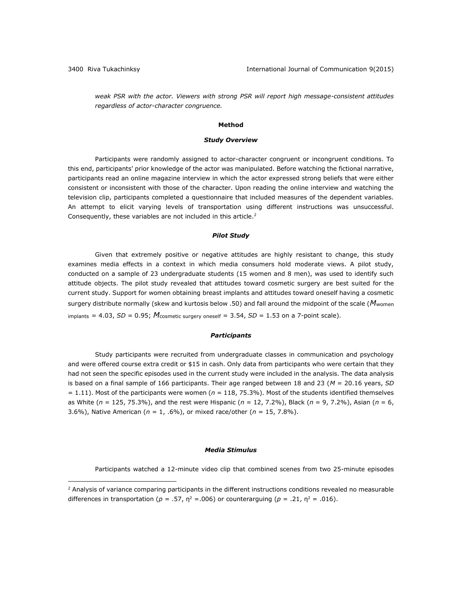$\overline{a}$ 

*weak PSR with the actor. Viewers with strong PSR will report high message-consistent attitudes regardless of actor-character congruence.*

#### **Method**

#### *Study Overview*

Participants were randomly assigned to actor-character congruent or incongruent conditions. To this end, participants' prior knowledge of the actor was manipulated. Before watching the fictional narrative, participants read an online magazine interview in which the actor expressed strong beliefs that were either consistent or inconsistent with those of the character. Upon reading the online interview and watching the television clip, participants completed a questionnaire that included measures of the dependent variables. An attempt to elicit varying levels of transportation using different instructions was unsuccessful. Consequently, these variables are not included in this article.<sup>2</sup>

#### *Pilot Study*

Given that extremely positive or negative attitudes are highly resistant to change, this study examines media effects in a context in which media consumers hold moderate views. A pilot study, conducted on a sample of 23 undergraduate students (15 women and 8 men), was used to identify such attitude objects. The pilot study revealed that attitudes toward cosmetic surgery are best suited for the current study. Support for women obtaining breast implants and attitudes toward oneself having a cosmetic surgery distribute normally (skew and kurtosis below .50) and fall around the midpoint of the scale (M<sub>women</sub>) implants =  $4.03$ ,  $SD = 0.95$ ;  $M_{\text{cosmetric surgery oneself}} = 3.54$ ,  $SD = 1.53$  on a 7-point scale).

#### *Participants*

Study participants were recruited from undergraduate classes in communication and psychology and were offered course extra credit or \$15 in cash. Only data from participants who were certain that they had not seen the specific episodes used in the current study were included in the analysis. The data analysis is based on a final sample of 166 participants. Their age ranged between 18 and 23 (*M* = 20.16 years, *SD* = 1.11). Most of the participants were women (*n* = 118, 75.3%). Most of the students identified themselves as White (*n* = 125, 75.3%), and the rest were Hispanic (*n* = 12, 7.2%), Black (*n* = 9, 7.2%), Asian (*n* = 6, 3.6%), Native American (*n* = 1, .6%), or mixed race/other (*n* = 15, 7.8%).

#### *Media Stimulus*

Participants watched a 12-minute video clip that combined scenes from two 25-minute episodes

 $<sup>2</sup>$  Analysis of variance comparing participants in the different instructions conditions revealed no measurable</sup> differences in transportation ( $p = .57$ ,  $n^2 = .006$ ) or counterarguing ( $p = .21$ ,  $n^2 = .016$ ).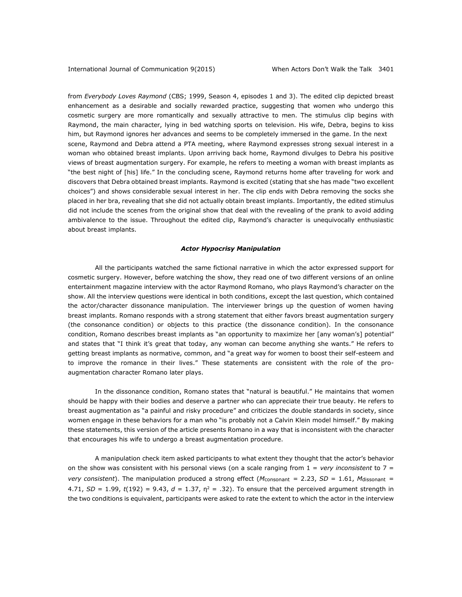from *Everybody Loves Raymond* (CBS; 1999, Season 4, episodes 1 and 3). The edited clip depicted breast enhancement as a desirable and socially rewarded practice, suggesting that women who undergo this cosmetic surgery are more romantically and sexually attractive to men. The stimulus clip begins with Raymond, the main character, lying in bed watching sports on television. His wife, Debra, begins to kiss him, but Raymond ignores her advances and seems to be completely immersed in the game. In the next scene, Raymond and Debra attend a PTA meeting, where Raymond expresses strong sexual interest in a woman who obtained breast implants. Upon arriving back home, Raymond divulges to Debra his positive views of breast augmentation surgery. For example, he refers to meeting a woman with breast implants as "the best night of [his] life." In the concluding scene, Raymond returns home after traveling for work and discovers that Debra obtained breast implants. Raymond is excited (stating that she has made "two excellent choices") and shows considerable sexual interest in her. The clip ends with Debra removing the socks she placed in her bra, revealing that she did not actually obtain breast implants. Importantly, the edited stimulus did not include the scenes from the original show that deal with the revealing of the prank to avoid adding ambivalence to the issue. Throughout the edited clip, Raymond's character is unequivocally enthusiastic about breast implants.

#### *Actor Hypocrisy Manipulation*

All the participants watched the same fictional narrative in which the actor expressed support for cosmetic surgery. However, before watching the show, they read one of two different versions of an online entertainment magazine interview with the actor Raymond Romano, who plays Raymond's character on the show. All the interview questions were identical in both conditions, except the last question, which contained the actor/character dissonance manipulation. The interviewer brings up the question of women having breast implants. Romano responds with a strong statement that either favors breast augmentation surgery (the consonance condition) or objects to this practice (the dissonance condition). In the consonance condition, Romano describes breast implants as "an opportunity to maximize her [any woman's] potential" and states that "I think it's great that today, any woman can become anything she wants." He refers to getting breast implants as normative, common, and "a great way for women to boost their self-esteem and to improve the romance in their lives." These statements are consistent with the role of the proaugmentation character Romano later plays.

In the dissonance condition, Romano states that "natural is beautiful." He maintains that women should be happy with their bodies and deserve a partner who can appreciate their true beauty. He refers to breast augmentation as "a painful and risky procedure" and criticizes the double standards in society, since women engage in these behaviors for a man who "is probably not a Calvin Klein model himself." By making these statements, this version of the article presents Romano in a way that is inconsistent with the character that encourages his wife to undergo a breast augmentation procedure.

A manipulation check item asked participants to what extent they thought that the actor's behavior on the show was consistent with his personal views (on a scale ranging from 1 = *very inconsistent* to 7 = *very consistent*). The manipulation produced a strong effect (*M*consonant = 2.23, *SD* = 1.61, *M*dissonant = 4.71,  $SD = 1.99$ ,  $t(192) = 9.43$ ,  $d = 1.37$ ,  $n^2 = .32$ ). To ensure that the perceived argument strength in the two conditions is equivalent, participants were asked to rate the extent to which the actor in the interview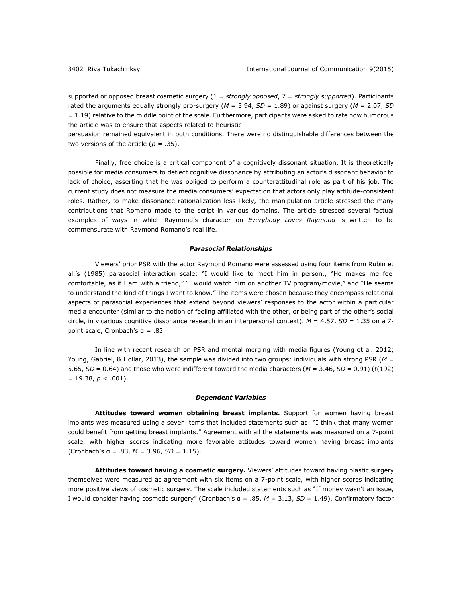supported or opposed breast cosmetic surgery (1 = *strongly opposed*, 7 = *strongly supported*). Participants rated the arguments equally strongly pro-surgery (*M* = 5.94, *SD* = 1.89) or against surgery (*M* = 2.07, *SD*  = 1.19) relative to the middle point of the scale. Furthermore, participants were asked to rate how humorous the article was to ensure that aspects related to heuristic

persuasion remained equivalent in both conditions. There were no distinguishable differences between the two versions of the article  $(p = .35)$ .

Finally, free choice is a critical component of a cognitively dissonant situation. It is theoretically possible for media consumers to deflect cognitive dissonance by attributing an actor's dissonant behavior to lack of choice, asserting that he was obliged to perform a counterattitudinal role as part of his job. The current study does not measure the media consumers' expectation that actors only play attitude-consistent roles. Rather, to make dissonance rationalization less likely, the manipulation article stressed the many contributions that Romano made to the script in various domains. The article stressed several factual examples of ways in which Raymond's character on *Everybody Loves Raymond* is written to be commensurate with Raymond Romano's real life.

#### *Parasocial Relationships*

Viewers' prior PSR with the actor Raymond Romano were assessed using four items from Rubin et al.'s (1985) parasocial interaction scale: "I would like to meet him in person,, "He makes me feel comfortable, as if I am with a friend," "I would watch him on another TV program/movie," and "He seems to understand the kind of things I want to know." The items were chosen because they encompass relational aspects of parasocial experiences that extend beyond viewers' responses to the actor within a particular media encounter (similar to the notion of feeling affiliated with the other, or being part of the other's social circle, in vicarious cognitive dissonance research in an interpersonal context).  $M = 4.57$ ,  $SD = 1.35$  on a 7point scale, Cronbach's α = .83.

In line with recent research on PSR and mental merging with media figures (Young et al. 2012; Young, Gabriel, & Hollar, 2013), the sample was divided into two groups: individuals with strong PSR (*M* = 5.65,  $SD = 0.64$ ) and those who were indifferent toward the media characters ( $M = 3.46$ ,  $SD = 0.91$ ) ( $t(192)$ )  $= 19.38, p < .001$ ).

#### *Dependent Variables*

**Attitudes toward women obtaining breast implants.** Support for women having breast implants was measured using a seven items that included statements such as: "I think that many women could benefit from getting breast implants." Agreement with all the statements was measured on a 7-point scale, with higher scores indicating more favorable attitudes toward women having breast implants (Cronbach's α = .83, *M* = 3.96, *SD* = 1.15).

**Attitudes toward having a cosmetic surgery.** Viewers' attitudes toward having plastic surgery themselves were measured as agreement with six items on a 7-point scale, with higher scores indicating more positive views of cosmetic surgery. The scale included statements such as "If money wasn't an issue, I would consider having cosmetic surgery" (Cronbach's α = .85, *M* = 3.13, *SD* = 1.49). Confirmatory factor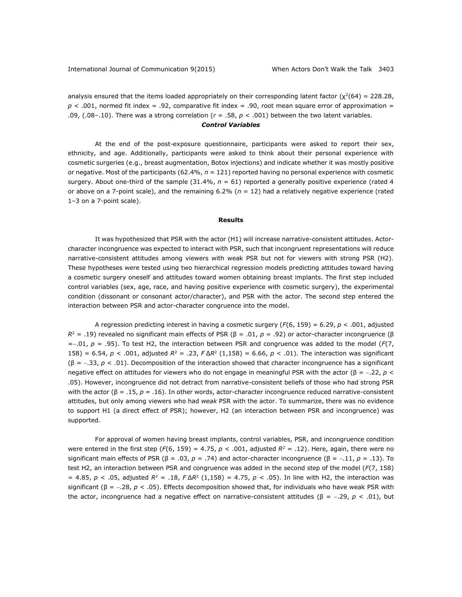analysis ensured that the items loaded appropriately on their corresponding latent factor ( $\chi^2(64) = 228.28$ ,  $p < .001$ , normed fit index = .92, comparative fit index = .90, root mean square error of approximation = .09, (.08–.10). There was a strong correlation (*r* = .58, *p* < .001) between the two latent variables.

#### *Control Variables*

At the end of the post-exposure questionnaire, participants were asked to report their sex, ethnicity, and age. Additionally, participants were asked to think about their personal experience with cosmetic surgeries (e.g., breast augmentation, Botox injections) and indicate whether it was mostly positive or negative. Most of the participants (62.4%, *n =* 121) reported having no personal experience with cosmetic surgery. About one-third of the sample (31.4%, *n* = 61) reported a generally positive experience (rated 4 or above on a 7-point scale), and the remaining 6.2% (*n* = 12) had a relatively negative experience (rated 1–3 on a 7-point scale).

#### **Results**

It was hypothesized that PSR with the actor (H1) will increase narrative-consistent attitudes. Actorcharacter incongruence was expected to interact with PSR, such that incongruent representations will reduce narrative-consistent attitudes among viewers with weak PSR but not for viewers with strong PSR (H2). These hypotheses were tested using two hierarchical regression models predicting attitudes toward having a cosmetic surgery oneself and attitudes toward women obtaining breast implants. The first step included control variables (sex, age, race, and having positive experience with cosmetic surgery), the experimental condition (dissonant or consonant actor/character), and PSR with the actor. The second step entered the interaction between PSR and actor-character congruence into the model.

A regression predicting interest in having a cosmetic surgery (*F*(6, 159) = 6.29, *p* < .001, adjusted  $R<sup>2</sup>$  = .19) revealed no significant main effects of PSR (β = .01, *p* = .92) or actor-character incongruence (β  $=$  -.01,  $p = .95$ ). To test H2, the interaction between PSR and congruence was added to the model ( $F(7)$ , 158) = 6.54,  $p < .001$ , adjusted  $R^2 = .23$ ,  $F \Delta R^2$  (1,158) = 6.66,  $p < .01$ ). The interaction was significant (β = .33, *p* < .01). Decomposition of the interaction showed that character incongruence has a significant negative effect on attitudes for viewers who do not engage in meaningful PSR with the actor (β = .22, *p* < .05). However, incongruence did not detract from narrative-consistent beliefs of those who had strong PSR with the actor (β = .15, *p* = .16). In other words, actor-character incongruence reduced narrative-consistent attitudes, but only among viewers who had *weak* PSR with the actor. To summarize, there was no evidence to support H1 (a direct effect of PSR); however, H2 (an interaction between PSR and incongruence) was supported.

For approval of women having breast implants, control variables, PSR, and incongruence condition were entered in the first step ( $F(6, 159) = 4.75$ ,  $p < .001$ , adjusted  $R<sup>2</sup> = .12$ ). Here, again, there were no significant main effects of PSR (β = .03, p = .74) and actor-character incongruence (β = -.11, p = .13). To test H2, an interaction between PSR and congruence was added in the second step of the model (*F*(7, 158)  $= 4.85, p < .05,$  adjusted  $R^2 = .18, F\Delta R^2 (1,158) = 4.75, p < .05$ ). In line with H2, the interaction was significant (β = .28, *p* < .05). Effects decomposition showed that, for individuals who have weak PSR with the actor, incongruence had a negative effect on narrative-consistent attitudes (β = -.29,  $p$  < .01), but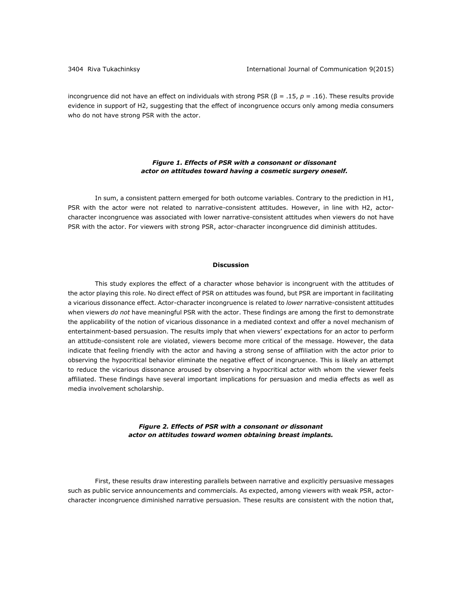incongruence did not have an effect on individuals with strong PSR (β = .15, *p* = .16). These results provide evidence in support of H2, suggesting that the effect of incongruence occurs only among media consumers who do not have strong PSR with the actor.

#### *Figure 1. Effects of PSR with a consonant or dissonant actor on attitudes toward having a cosmetic surgery oneself.*

In sum, a consistent pattern emerged for both outcome variables. Contrary to the prediction in H1, PSR with the actor were not related to narrative-consistent attitudes. However, in line with H2, actorcharacter incongruence was associated with lower narrative-consistent attitudes when viewers do not have PSR with the actor. For viewers with strong PSR, actor-character incongruence did diminish attitudes.

#### **Discussion**

This study explores the effect of a character whose behavior is incongruent with the attitudes of the actor playing this role. No direct effect of PSR on attitudes was found, but PSR are important in facilitating a vicarious dissonance effect. Actor-character incongruence is related to *lower* narrative-consistent attitudes when viewers *do not* have meaningful PSR with the actor. These findings are among the first to demonstrate the applicability of the notion of vicarious dissonance in a mediated context and offer a novel mechanism of entertainment-based persuasion. The results imply that when viewers' expectations for an actor to perform an attitude-consistent role are violated, viewers become more critical of the message. However, the data indicate that feeling friendly with the actor and having a strong sense of affiliation with the actor prior to observing the hypocritical behavior eliminate the negative effect of incongruence. This is likely an attempt to reduce the vicarious dissonance aroused by observing a hypocritical actor with whom the viewer feels affiliated. These findings have several important implications for persuasion and media effects as well as media involvement scholarship.

#### *Figure 2. Effects of PSR with a consonant or dissonant actor on attitudes toward women obtaining breast implants.*

First, these results draw interesting parallels between narrative and explicitly persuasive messages such as public service announcements and commercials. As expected, among viewers with weak PSR, actorcharacter incongruence diminished narrative persuasion. These results are consistent with the notion that,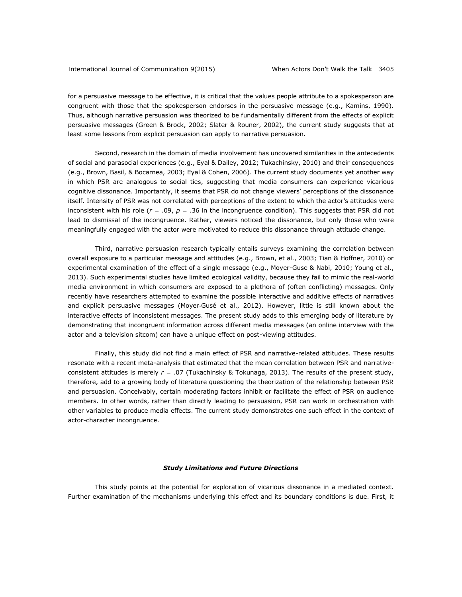for a persuasive message to be effective, it is critical that the values people attribute to a spokesperson are congruent with those that the spokesperson endorses in the persuasive message (e.g., Kamins, 1990). Thus, although narrative persuasion was theorized to be fundamentally different from the effects of explicit persuasive messages (Green & Brock, 2002; Slater & Rouner, 2002), the current study suggests that at least some lessons from explicit persuasion can apply to narrative persuasion.

Second, research in the domain of media involvement has uncovered similarities in the antecedents of social and parasocial experiences (e.g., Eyal & Dailey, 2012; Tukachinsky, 2010) and their consequences (e.g., Brown, Basil, & Bocarnea, 2003; Eyal & Cohen, 2006). The current study documents yet another way in which PSR are analogous to social ties, suggesting that media consumers can experience vicarious cognitive dissonance. Importantly, it seems that PSR do not change viewers' perceptions of the dissonance itself. Intensity of PSR was not correlated with perceptions of the extent to which the actor's attitudes were inconsistent with his role ( $r = .09$ ,  $p = .36$  in the incongruence condition). This suggests that PSR did not lead to dismissal of the incongruence. Rather, viewers noticed the dissonance, but only those who were meaningfully engaged with the actor were motivated to reduce this dissonance through attitude change.

Third, narrative persuasion research typically entails surveys examining the correlation between overall exposure to a particular message and attitudes (e.g., Brown, et al., 2003; Tian & Hoffner, 2010) or experimental examination of the effect of a single message (e.g., Moyer-Guse & Nabi, 2010; Young et al., 2013). Such experimental studies have limited ecological validity, because they fail to mimic the real-world media environment in which consumers are exposed to a plethora of (often conflicting) messages. Only recently have researchers attempted to examine the possible interactive and additive effects of narratives and explicit persuasive messages (Moyer‐Gusé et al., 2012). However, little is still known about the interactive effects of inconsistent messages. The present study adds to this emerging body of literature by demonstrating that incongruent information across different media messages (an online interview with the actor and a television sitcom) can have a unique effect on post-viewing attitudes.

Finally, this study did not find a main effect of PSR and narrative-related attitudes. These results resonate with a recent meta-analysis that estimated that the mean correlation between PSR and narrativeconsistent attitudes is merely *r* = .07 (Tukachinsky & Tokunaga, 2013). The results of the present study, therefore, add to a growing body of literature questioning the theorization of the relationship between PSR and persuasion. Conceivably, certain moderating factors inhibit or facilitate the effect of PSR on audience members. In other words, rather than directly leading to persuasion, PSR can work in orchestration with other variables to produce media effects. The current study demonstrates one such effect in the context of actor-character incongruence.

#### *Study Limitations and Future Directions*

This study points at the potential for exploration of vicarious dissonance in a mediated context. Further examination of the mechanisms underlying this effect and its boundary conditions is due. First, it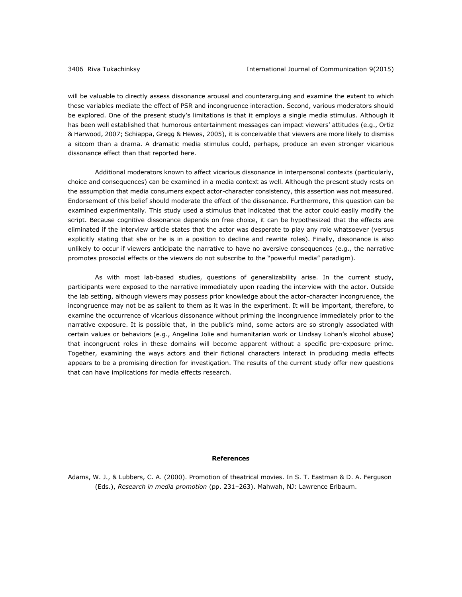will be valuable to directly assess dissonance arousal and counterarguing and examine the extent to which these variables mediate the effect of PSR and incongruence interaction. Second, various moderators should be explored. One of the present study's limitations is that it employs a single media stimulus. Although it has been well established that humorous entertainment messages can impact viewers' attitudes (e.g., Ortiz & Harwood, 2007; Schiappa, Gregg & Hewes, 2005), it is conceivable that viewers are more likely to dismiss a sitcom than a drama. A dramatic media stimulus could, perhaps, produce an even stronger vicarious dissonance effect than that reported here.

Additional moderators known to affect vicarious dissonance in interpersonal contexts (particularly, choice and consequences) can be examined in a media context as well. Although the present study rests on the assumption that media consumers expect actor-character consistency, this assertion was not measured. Endorsement of this belief should moderate the effect of the dissonance. Furthermore, this question can be examined experimentally. This study used a stimulus that indicated that the actor could easily modify the script. Because cognitive dissonance depends on free choice, it can be hypothesized that the effects are eliminated if the interview article states that the actor was desperate to play any role whatsoever (versus explicitly stating that she or he is in a position to decline and rewrite roles). Finally, dissonance is also unlikely to occur if viewers anticipate the narrative to have no aversive consequences (e.g., the narrative promotes prosocial effects or the viewers do not subscribe to the "powerful media" paradigm).

As with most lab-based studies, questions of generalizability arise. In the current study, participants were exposed to the narrative immediately upon reading the interview with the actor. Outside the lab setting, although viewers may possess prior knowledge about the actor-character incongruence, the incongruence may not be as salient to them as it was in the experiment. It will be important, therefore, to examine the occurrence of vicarious dissonance without priming the incongruence immediately prior to the narrative exposure. It is possible that, in the public's mind, some actors are so strongly associated with certain values or behaviors (e.g., Angelina Jolie and humanitarian work or Lindsay Lohan's alcohol abuse) that incongruent roles in these domains will become apparent without a specific pre-exposure prime. Together, examining the ways actors and their fictional characters interact in producing media effects appears to be a promising direction for investigation. The results of the current study offer new questions that can have implications for media effects research.

#### **References**

Adams, W. J., & Lubbers, C. A. (2000). Promotion of theatrical movies. In S. T. Eastman & D. A. Ferguson (Eds.), *Research in media promotion* (pp. 231–263). Mahwah, NJ: Lawrence Erlbaum.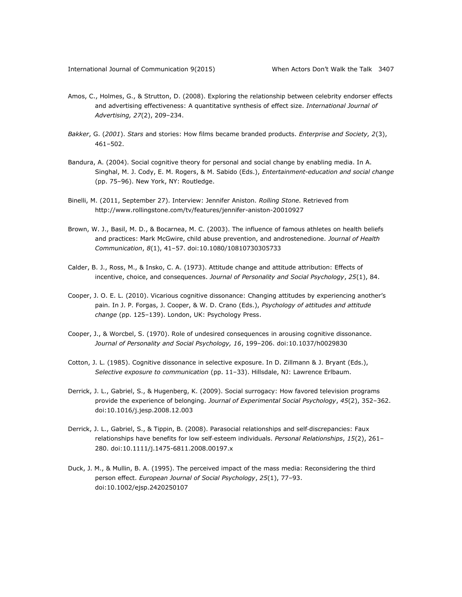- Amos, C., Holmes, G., & Strutton, D. (2008). Exploring the relationship between celebrity endorser effects and advertising effectiveness: A quantitative synthesis of effect size. *International Journal of Advertising, 27*(2), 209–234.
- *Bakker*, G. (*2001*). *Stars* and stories: How films became branded products. *Enterprise and Society, 2*(3), 461–502.
- Bandura, A. (2004). Social cognitive theory for personal and social change by enabling media. In A. Singhal, M. J. Cody, E. M. Rogers, & M. Sabido (Eds.), *Entertainment-education and social change* (pp. 75–96). New York, NY: Routledge.
- Binelli, M. (2011, September 27). Interview: Jennifer Aniston. *Rolling Stone.* Retrieved from <http://www.rollingstone.com/tv/features/jennifer-aniston-20010927>
- Brown, W. J., Basil, M. D., & Bocarnea, M. C. (2003). The influence of famous athletes on health beliefs and practices: Mark McGwire, child abuse prevention, and androstenedione. *Journal of Health Communication*, *8*(1), 41–57. doi:10.1080/10810730305733
- Calder, B. J., Ross, M., & Insko, C. A. (1973). Attitude change and attitude attribution: Effects of incentive, choice, and consequences. *Journal of Personality and Social Psychology*, *25*(1), 84.
- Cooper, J. O. E. L. (2010). Vicarious cognitive dissonance: Changing attitudes by experiencing another's pain. In J. P. Forgas, J. Cooper, & W. D. Crano (Eds.), *Psychology of attitudes and attitude change* (pp. 125–139). London, UK: Psychology Press.
- Cooper, J., & Worcbel, S. (1970). Role of undesired consequences in arousing cognitive dissonance. *Journal of Personality and Social Psychology, 16*, 199–206. doi:10.1037/h0029830
- Cotton, J. L. (1985). Cognitive dissonance in selective exposure. In D. Zillmann & J. Bryant (Eds.), *Selective exposure to communication* (pp. 11–33). Hillsdale, NJ: Lawrence Erlbaum.
- Derrick, J. L., Gabriel, S., & Hugenberg, K. (2009). Social surrogacy: How favored television programs provide the experience of belonging. *Journal of Experimental Social Psychology*, *45*(2), 352–362. doi:10.1016/j.jesp.2008.12.003
- Derrick, J. L., Gabriel, S., & Tippin, B. (2008). Parasocial relationships and self‐discrepancies: Faux relationships have benefits for low self‐esteem individuals. *Personal Relationships*, *15*(2), 261– 280. doi:10.1111/j.1475-6811.2008.00197.x
- Duck, J. M., & Mullin, B. A. (1995). The perceived impact of the mass media: Reconsidering the third person effect. *European Journal of Social Psychology*, *25*(1), 77–93. doi:10.1002/ejsp.2420250107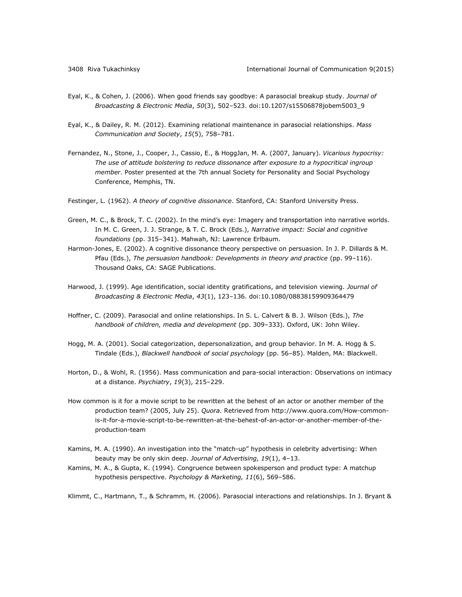- Eyal, K., & Cohen, J. (2006). When good friends say goodbye: A parasocial breakup study. *Journal of Broadcasting & Electronic Media*, *50*(3), 502–523. doi:10.1207/s15506878jobem5003\_9
- Eyal, K., & Dailey, R. M. (2012). Examining relational maintenance in parasocial relationships. *Mass Communication and Society*, *15*(5), 758–781.
- Fernandez, N., Stone, J., Cooper, J., Cassio, E., & HoggJan, M. A. (2007, January). *Vicarious hypocrisy: The use of attitude bolstering to reduce dissonance after exposure to a hypocritical ingroup member*. Poster presented at the 7th annual Society for Personality and Social Psychology Conference, Memphis, TN.
- Festinger, L. (1962). *A theory of cognitive dissonance*. Stanford, CA: Stanford University Press.
- Green, M. C., & Brock, T. C. (2002). In the mind's eye: Imagery and transportation into narrative worlds. In M. C. Green, J. J. Strange, & T. C. Brock (Eds.), *Narrative impact: Social and cognitive foundations* (pp. 315–341). Mahwah, NJ: Lawrence Erlbaum.
- Harmon-Jones, E. (2002). A cognitive dissonance theory perspective on persuasion. In J. P. Dillards & M. Pfau (Eds.), *The persuasion handbook: Developments in theory and practice* (pp. 99–116). Thousand Oaks, CA: SAGE Publications.
- Harwood, J. (1999). Age identification, social identity gratifications, and television viewing. *Journal of Broadcasting & Electronic Media*, *43*(1), 123–136. doi:10.1080/08838159909364479
- Hoffner, C. (2009). Parasocial and online relationships. In S. L. Calvert & B. J. Wilson (Eds.), *The handbook of children, media and development* (pp. 309–333). Oxford, UK: John Wiley.
- Hogg, M. A. (2001). Social categorization, depersonalization, and group behavior. In M. A. Hogg & S. Tindale (Eds.), *Blackwell handbook of social psychology* (pp. 56–85). Malden, MA: Blackwell.
- Horton, D., & Wohl, R. (1956). Mass communication and para-social interaction: Observations on intimacy at a distance. *Psychiatry*, *19*(3), 215–229.
- How common is it for a movie script to be rewritten at the behest of an actor or another member of the production team? (2005, July 25). *Quora.* Retrieved from [http://www.quora.com/How-common](http://www.quora.com/How-common-is-it-for-a-movie-script-to-be-rewritten-at-the-behest-of-an-actor-or-another-member-of-the-production-team)[is-it-for-a-movie-script-to-be-rewritten-at-the-behest-of-an-actor-or-another-member-of-the](http://www.quora.com/How-common-is-it-for-a-movie-script-to-be-rewritten-at-the-behest-of-an-actor-or-another-member-of-the-production-team)[production-team](http://www.quora.com/How-common-is-it-for-a-movie-script-to-be-rewritten-at-the-behest-of-an-actor-or-another-member-of-the-production-team)
- Kamins, M. A. (1990). An investigation into the "match-up" hypothesis in celebrity advertising: When beauty may be only skin deep. *Journal of Advertising, 19*(1), 4–13.
- Kamins, M. A., & Gupta, K. (1994). Congruence between spokesperson and product type: A matchup hypothesis perspective. *Psychology & Marketing, 11*(6), 569–586.

Klimmt, C., Hartmann, T., & Schramm, H. (2006). Parasocial interactions and relationships. In J. Bryant &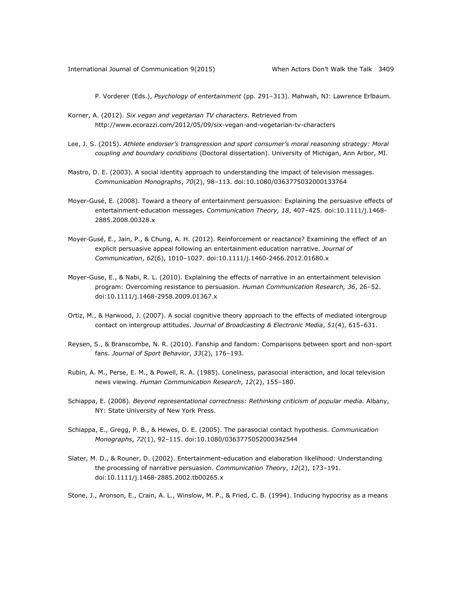P. Vorderer (Eds.), *Psychology of entertainment* (pp. 291–313). Mahwah, NJ: Lawrence Erlbaum.

- Korner, A. (2012). *Six vegan and vegetarian TV characters*. Retrieved from <http://www.ecorazzi.com/2012/05/09/six-vegan-and-vegetarian-tv-characters>
- Lee, J. S. (2015). *Athlete endorser's transgression and sport consumer's moral reasoning strategy: Moral coupling and boundary conditions* (Doctoral dissertation). University of Michigan, Ann Arbor, MI.
- Mastro, D. E. (2003). A social identity approach to understanding the impact of television messages. *Communication Monographs*, *70*(2), 98–113. doi:10.1080/0363775032000133764
- Moyer-Gusé, E. (2008). Toward a theory of entertainment persuasion: Explaining the persuasive effects of entertainment-education messages. *Communication Theory, 18*, 407–425*.* doi:10.1111/j.1468- 2885.2008.00328.x
- Moyer‐Gusé, E., Jain, P., & Chung, A. H. (2012). Reinforcement or reactance? Examining the effect of an explicit persuasive appeal following an entertainment‐education narrative. *Journal of Communication*, *62*(6), 1010–1027. doi:10.1111/j.1460-2466.2012.01680.x
- Moyer-Guse, E., & Nabi, R. L. (2010). Explaining the effects of narrative in an entertainment television program: Overcoming resistance to persuasion. *Human Communication Research, 36*, 26–52. doi:10.1111/j.1468-2958.2009.01367.x
- Ortiz, M., & Harwood, J. (2007). A social cognitive theory approach to the effects of mediated intergroup contact on intergroup attitudes. *Journal of Broadcasting & Electronic Media*, *51*(4), 615–631.
- Reysen, S., & Branscombe, N. R. (2010). Fanship and fandom: Comparisons between sport and non-sport fans. *Journal of Sport Behavior*, *33*(2), 176–193.
- Rubin, A. M., Perse, E. M., & Powell, R. A. (1985). Loneliness, parasocial interaction, and local television news viewing. *Human Communication Research*, *12*(2), 155–180.
- Schiappa, E. (2008). *Beyond representational correctness: Rethinking criticism of popular media.* Albany, NY: State University of New York Press*.*
- Schiappa, E., Gregg, P. B., & Hewes, D. E. (2005). The parasocial contact hypothesis. *Communication Monographs*, *72*(1), 92–115. doi:10.1080/0363775052000342544
- Slater, M. D., & Rouner, D. (2002). Entertainment-education and elaboration likelihood: Understanding the processing of narrative persuasion. *Communication Theory*, *12*(2), 173–191. doi:10.1111/j.1468-2885.2002.tb00265.x

Stone, J., Aronson, E., Crain, A. L., Winslow, M. P., & Fried, C. B. (1994). Inducing hypocrisy as a means